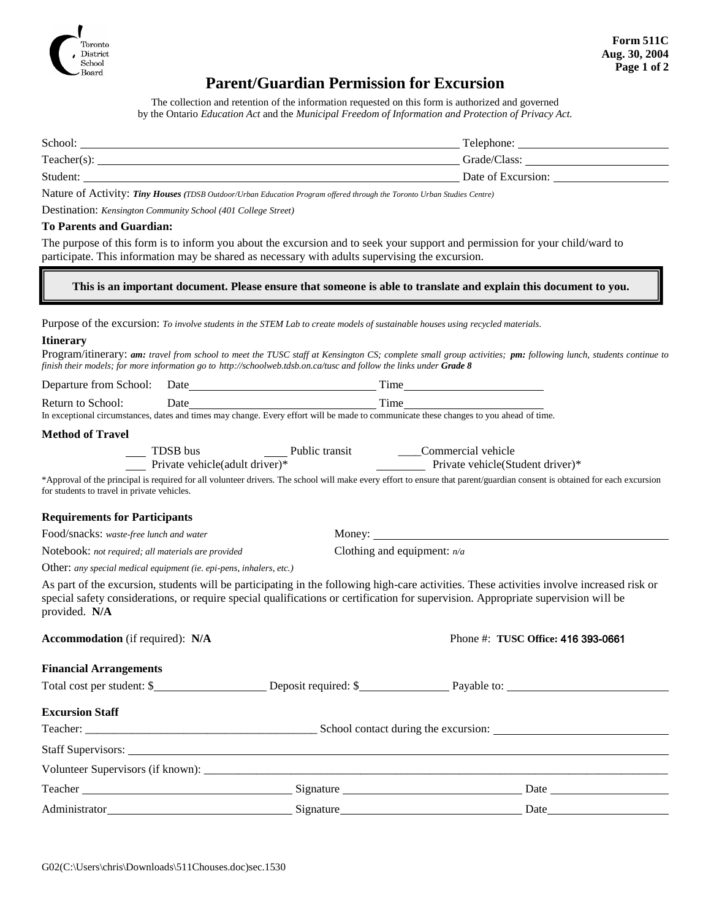

### **Parent/Guardian Permission for Excursion**

The collection and retention of the information requested on this form is authorized and governed by the Ontario *Education Act* and the *Municipal Freedom of Information and Protection of Privacy Act.*

| School:        | Telephone:         |
|----------------|--------------------|
| $Teacher(s)$ : | Grade/Class:       |
| Student:       | Date of Excursion: |
|                |                    |

Nature of Activity: *Tiny Houses (TDSB Outdoor/Urban Education Program offered through the Toronto Urban Studies Centre)*

Destination: *Kensington Community School (401 College Street)*

#### **To Parents and Guardian:**

The purpose of this form is to inform you about the excursion and to seek your support and permission for your child/ward to participate. This information may be shared as necessary with adults supervising the excursion.

**This is an important document. Please ensure that someone is able to translate and explain this document to you.**

Purpose of the excursion: *To involve students in the STEM Lab to create models of sustainable houses using recycled materials.* 

#### **Itinerary**

Program/itinerary: *am: travel from school to meet the TUSC staff at Kensington CS; complete small group activities; pm: following lunch, students continue to finish their models; for more information go to http://schoolweb.tdsb.on.ca/tusc and follow the links under Grade 8*

| Departure from School: | Date | . ime |
|------------------------|------|-------|
|                        |      |       |

Return to School: Date Time In exceptional circumstances, dates and times may change. Every effort will be made to communicate these changes to you ahead of time.

#### **Method of Travel**

| TDSB bus                        | Public transit | Commercial vehicle               |
|---------------------------------|----------------|----------------------------------|
| Private vehicle (adult driver)* |                | Private vehicle(Student driver)* |

\*Approval of the principal is required for all volunteer drivers. The school will make every effort to ensure that parent/guardian consent is obtained for each excursion for students to travel in private vehicles.

#### **Requirements for Participants**

Food/snacks: *waste-free lunch and water* Money:

Notebook: *not required; all materials are provided* Clothing and equipment: *n/a*

Other: *any special medical equipment (ie. epi-pens, inhalers, etc.)*

As part of the excursion, students will be participating in the following high-care activities. These activities involve increased risk or special safety considerations, or require special qualifications or certification for supervision. Appropriate supervision will be provided. **N/A**

| <b>Accommodation</b> (if required): N/A                                               |  | Phone #: TUSC Office: 416 393-0661                                                                                                                                                                                            |  |  |  |  |
|---------------------------------------------------------------------------------------|--|-------------------------------------------------------------------------------------------------------------------------------------------------------------------------------------------------------------------------------|--|--|--|--|
| <b>Financial Arrangements</b>                                                         |  |                                                                                                                                                                                                                               |  |  |  |  |
|                                                                                       |  |                                                                                                                                                                                                                               |  |  |  |  |
| <b>Excursion Staff</b>                                                                |  |                                                                                                                                                                                                                               |  |  |  |  |
|                                                                                       |  |                                                                                                                                                                                                                               |  |  |  |  |
| Staff Supervisors: <u>and a state of the state of the state of</u> staff Supervisors: |  |                                                                                                                                                                                                                               |  |  |  |  |
|                                                                                       |  |                                                                                                                                                                                                                               |  |  |  |  |
|                                                                                       |  |                                                                                                                                                                                                                               |  |  |  |  |
|                                                                                       |  | Date and the same state of the state of the state of the state of the state of the state of the state of the state of the state of the state of the state of the state of the state of the state of the state of the state of |  |  |  |  |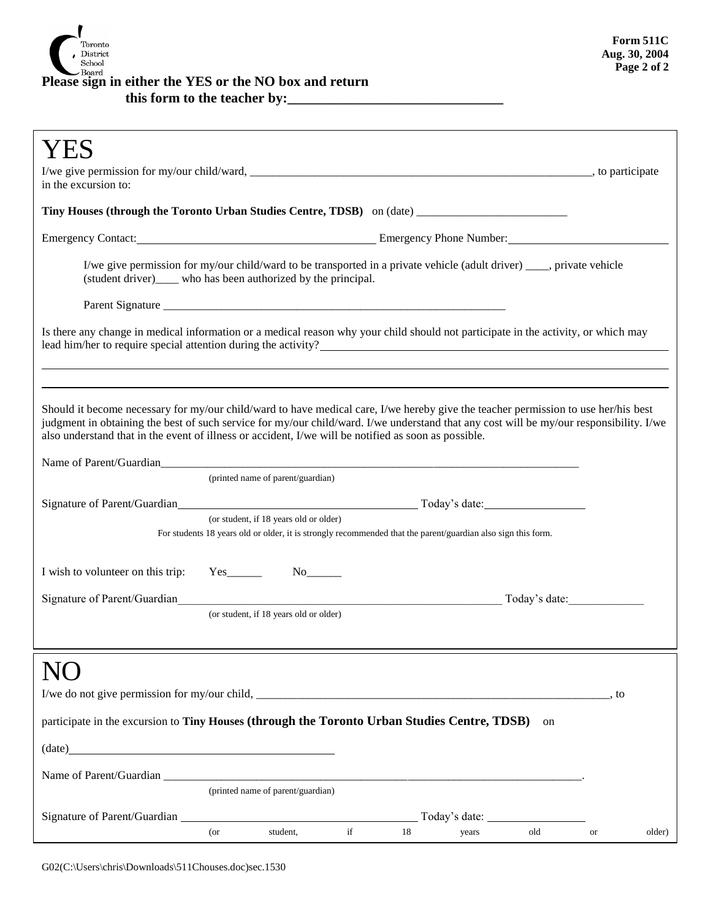

## Please sign in either the YES or the NO box and return

this form to the teacher by:\_

| in the excursion to:                                                                                                                                                                                                                                                                                                                                                                  |                                                                                                                                    |                                                                                                              |                     |    |               |               |           |        |
|---------------------------------------------------------------------------------------------------------------------------------------------------------------------------------------------------------------------------------------------------------------------------------------------------------------------------------------------------------------------------------------|------------------------------------------------------------------------------------------------------------------------------------|--------------------------------------------------------------------------------------------------------------|---------------------|----|---------------|---------------|-----------|--------|
| Tiny Houses (through the Toronto Urban Studies Centre, TDSB) on (date) _____________________________                                                                                                                                                                                                                                                                                  |                                                                                                                                    |                                                                                                              |                     |    |               |               |           |        |
|                                                                                                                                                                                                                                                                                                                                                                                       |                                                                                                                                    |                                                                                                              |                     |    |               |               |           |        |
| I/we give permission for my/our child/ward to be transported in a private vehicle (adult driver) ____, private vehicle<br>(student driver)____ who has been authorized by the principal.                                                                                                                                                                                              |                                                                                                                                    |                                                                                                              |                     |    |               |               |           |        |
|                                                                                                                                                                                                                                                                                                                                                                                       |                                                                                                                                    |                                                                                                              |                     |    |               |               |           |        |
|                                                                                                                                                                                                                                                                                                                                                                                       | Is there any change in medical information or a medical reason why your child should not participate in the activity, or which may |                                                                                                              |                     |    |               |               |           |        |
|                                                                                                                                                                                                                                                                                                                                                                                       |                                                                                                                                    |                                                                                                              |                     |    |               |               |           |        |
| Should it become necessary for my/our child/ward to have medical care, I/we hereby give the teacher permission to use her/his best<br>judgment in obtaining the best of such service for my/our child/ward. I/we understand that any cost will be my/our responsibility. I/we<br>also understand that in the event of illness or accident, I/we will be notified as soon as possible. |                                                                                                                                    |                                                                                                              |                     |    |               |               |           |        |
|                                                                                                                                                                                                                                                                                                                                                                                       |                                                                                                                                    |                                                                                                              |                     |    |               |               |           |        |
|                                                                                                                                                                                                                                                                                                                                                                                       |                                                                                                                                    | (printed name of parent/guardian)                                                                            |                     |    |               |               |           |        |
|                                                                                                                                                                                                                                                                                                                                                                                       |                                                                                                                                    | (or student, if 18 years old or older)                                                                       |                     |    |               |               |           |        |
|                                                                                                                                                                                                                                                                                                                                                                                       |                                                                                                                                    | For students 18 years old or older, it is strongly recommended that the parent/guardian also sign this form. |                     |    |               |               |           |        |
| I wish to volunteer on this trip:                                                                                                                                                                                                                                                                                                                                                     | $Yes$ <sub>_________</sub>                                                                                                         |                                                                                                              |                     |    |               |               |           |        |
| Signature of Parent/Guardian                                                                                                                                                                                                                                                                                                                                                          |                                                                                                                                    |                                                                                                              |                     |    |               | Today's date: |           |        |
|                                                                                                                                                                                                                                                                                                                                                                                       |                                                                                                                                    | (or student, if 18 years old or older)                                                                       |                     |    |               |               |           |        |
|                                                                                                                                                                                                                                                                                                                                                                                       |                                                                                                                                    |                                                                                                              |                     |    |               |               |           |        |
|                                                                                                                                                                                                                                                                                                                                                                                       |                                                                                                                                    |                                                                                                              |                     |    |               |               |           |        |
|                                                                                                                                                                                                                                                                                                                                                                                       |                                                                                                                                    |                                                                                                              |                     |    |               |               |           |        |
| participate in the excursion to Tiny Houses (through the Toronto Urban Studies Centre, TDSB) on                                                                                                                                                                                                                                                                                       |                                                                                                                                    |                                                                                                              |                     |    |               |               |           |        |
| $\qquad \qquad (date) \qquad \qquad 1.5\%$                                                                                                                                                                                                                                                                                                                                            |                                                                                                                                    |                                                                                                              |                     |    |               |               |           |        |
|                                                                                                                                                                                                                                                                                                                                                                                       |                                                                                                                                    |                                                                                                              |                     |    |               |               |           |        |
|                                                                                                                                                                                                                                                                                                                                                                                       |                                                                                                                                    | (printed name of parent/guardian)                                                                            |                     |    |               |               |           |        |
|                                                                                                                                                                                                                                                                                                                                                                                       |                                                                                                                                    |                                                                                                              |                     |    | Today's date: |               |           |        |
|                                                                                                                                                                                                                                                                                                                                                                                       | $($ or                                                                                                                             | student,                                                                                                     | $\operatorname{if}$ | 18 | years         | old           | <b>or</b> | older) |